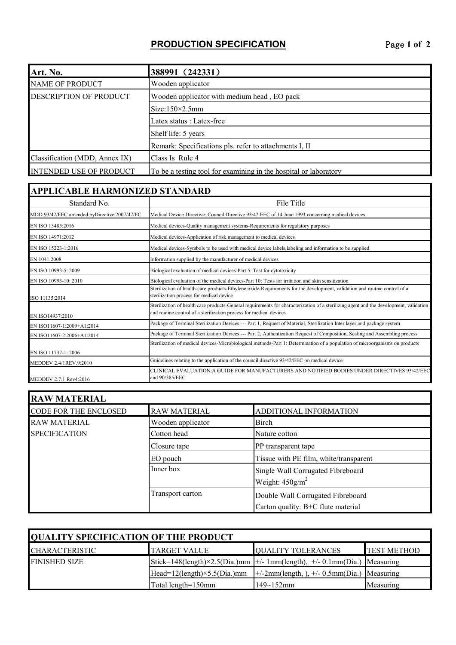## **PRODUCTION SPECIFICATION** Page **1 of 2**

| Art. No.                       | 388991 (242331)                                                  |  |
|--------------------------------|------------------------------------------------------------------|--|
| <b>NAME OF PRODUCT</b>         | Wooden applicator                                                |  |
| <b>DESCRIPTION OF PRODUCT</b>  | Wooden applicator with medium head, EO pack                      |  |
|                                | $Size:150\times2.5mm$                                            |  |
|                                | Latex status : Latex-free                                        |  |
|                                | Shelf life: 5 years                                              |  |
|                                | Remark: Specifications pls. refer to attachments I, II           |  |
| Classification (MDD, Annex IX) | Class Is Rule 4                                                  |  |
| <b>INTENDED USE OF PRODUCT</b> | To be a testing tool for examining in the hospital or laboratory |  |

## **APPLICABLE HARMONIZED STANDARD**

| Standard No.                                 | File Title                                                                                                                                                                                                   |
|----------------------------------------------|--------------------------------------------------------------------------------------------------------------------------------------------------------------------------------------------------------------|
| MDD 93/42/EEC amended byDirective 2007/47/EC | Medical Device Directive: Council Directive 93/42 EEC of 14 June 1993 concerning medical devices                                                                                                             |
| EN ISO 13485:2016                            | Medical devices-Quality management systems-Requirements for regulatory purposes                                                                                                                              |
| EN ISO 14971:2012                            | Medical devices-Application of risk management to medical devices                                                                                                                                            |
| EN ISO 15223-1:2016                          | Medical devices-Symbols to be used with medical device labels, labeling and information to be supplied                                                                                                       |
| EN 1041:2008                                 | Information supplied by the manufacturer of medical devices                                                                                                                                                  |
| EN ISO 10993-5: 2009                         | Biological evaluation of medical devices-Part 5: Test for cytotoxicity                                                                                                                                       |
| EN ISO 10993-10: 2010                        | Biological evaluation of the medical devices-Part 10: Tests for irritation and skin sensitization                                                                                                            |
| ISO 11135:2014                               | Sterilization of health-care products-Ethylene oxide-Requirements for the development, validation and routine control of a<br>sterilization process for medical device                                       |
| EN ISO14937:2010                             | Sterilization of health care products-General requirements for characterization of a sterilizing agent and the development, validation<br>and routine control of a sterilization process for medical devices |
| EN ISO11607-1:2009+A1:2014                   | Package of Terminal Sterilization Devices --- Part 1, Request of Material, Sterilization Inter layer and package system                                                                                      |
| EN ISO11607-2:2006+A1:2014                   | Package of Terminal Sterilization Devices --- Part 2, Authentication Request of Composition, Sealing and Assembling process                                                                                  |
| EN ISO 11737-1: 2006                         | Sterilization of medical devices-Microbiological methods-Part 1: Determination of a population of microorganisms on products                                                                                 |
| MEDDEV 2.4/1REV.9:2010                       | Guidelines relating to the application of the council directive 93/42/EEC on medical device                                                                                                                  |
| MEDDEV 2.7.1 Rev4:2016                       | CLINICAL EVALUATION:A GUIDE FOR MANUFACTURERS AND NOTIFIED BODIES UNDER DIRECTIVES 93/42/EEG<br>and 90/385/EEC                                                                                               |

| <b>RAW MATERIAL</b>   |                     |                                                                     |  |  |  |
|-----------------------|---------------------|---------------------------------------------------------------------|--|--|--|
| CODE FOR THE ENCLOSED | <b>RAW MATERIAL</b> | ADDITIONAL INFORMATION                                              |  |  |  |
| <b>RAW MATERIAL</b>   | Wooden applicator   | <b>Birch</b>                                                        |  |  |  |
| <b>SPECIFICATION</b>  | Cotton head         | Nature cotton                                                       |  |  |  |
|                       | Closure tape        | PP transparent tape                                                 |  |  |  |
|                       | EO pouch            | Tissue with PE film, white/transparent                              |  |  |  |
|                       | Inner box           | Single Wall Corrugated Fibreboard<br>Weight: $450$ g/m <sup>2</sup> |  |  |  |
|                       | Transport carton    | Double Wall Corrugated Fibreboard                                   |  |  |  |
|                       |                     | Carton quality: B+C flute material                                  |  |  |  |

| <b>OUALITY SPECIFICATION OF THE PRODUCT</b> |                                     |                                                                                                                   |                    |  |  |
|---------------------------------------------|-------------------------------------|-------------------------------------------------------------------------------------------------------------------|--------------------|--|--|
| <b>ICHARACTERISTIC</b>                      | <b>TARGET VALUE</b>                 | <b>OUALITY TOLERANCES</b>                                                                                         | <b>TEST METHOD</b> |  |  |
| <b>FINISHED SIZE</b>                        |                                     | Stick=148(length) $\times$ 2.5(Dia.)mm $\left  + \right $ -1mm(length), $\left  + \right $ -0.1mm(Dia.) Measuring |                    |  |  |
|                                             | $Head=12(length)\times 5.5(Dia.)mm$ | $\pm$ /-2mm(length, ), $\pm$ /-0.5mm(Dia.) Measuring                                                              |                    |  |  |
|                                             | Total length=150mm                  | $149 - 152$ mm                                                                                                    | Measuring          |  |  |